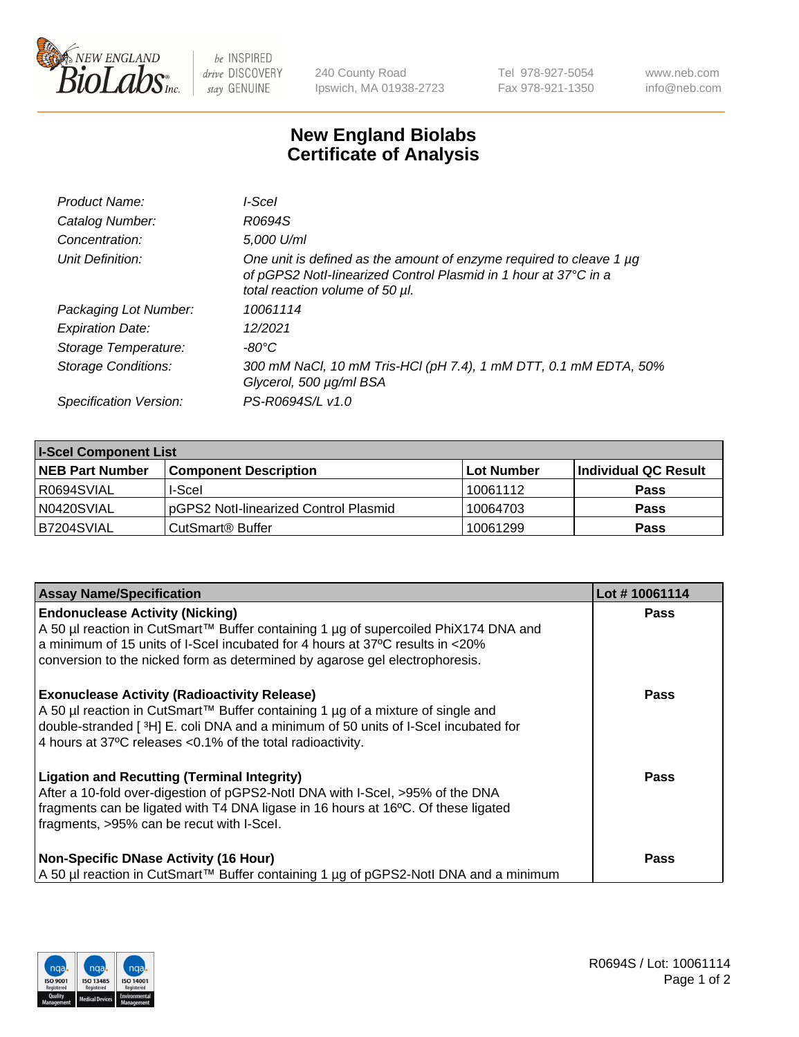

 $be$  INSPIRED drive DISCOVERY stay GENUINE

240 County Road Ipswich, MA 01938-2723 Tel 978-927-5054 Fax 978-921-1350 www.neb.com info@neb.com

## **New England Biolabs Certificate of Analysis**

| Product Name:              | I-Scel                                                                                                                                                                    |
|----------------------------|---------------------------------------------------------------------------------------------------------------------------------------------------------------------------|
| Catalog Number:            | R0694S                                                                                                                                                                    |
| Concentration:             | 5,000 U/ml                                                                                                                                                                |
| Unit Definition:           | One unit is defined as the amount of enzyme required to cleave 1 µg<br>of pGPS2 Notl-linearized Control Plasmid in 1 hour at 37°C in a<br>total reaction volume of 50 µl. |
| Packaging Lot Number:      | 10061114                                                                                                                                                                  |
| <b>Expiration Date:</b>    | 12/2021                                                                                                                                                                   |
| Storage Temperature:       | -80°C                                                                                                                                                                     |
| <b>Storage Conditions:</b> | 300 mM NaCl, 10 mM Tris-HCl (pH 7.4), 1 mM DTT, 0.1 mM EDTA, 50%<br>Glycerol, 500 µg/ml BSA                                                                               |
| Specification Version:     | PS-R0694S/L v1.0                                                                                                                                                          |
|                            |                                                                                                                                                                           |

| <b>I-Scel Component List</b> |                                       |              |                      |  |
|------------------------------|---------------------------------------|--------------|----------------------|--|
| <b>NEB Part Number</b>       | <b>Component Description</b>          | l Lot Number | Individual QC Result |  |
| I R0694SVIAL                 | I-Scel                                | 10061112     | <b>Pass</b>          |  |
| N0420SVIAL                   | pGPS2 Notl-linearized Control Plasmid | 10064703     | <b>Pass</b>          |  |
| B7204SVIAL                   | CutSmart® Buffer                      | 10061299     | <b>Pass</b>          |  |

| <b>Assay Name/Specification</b>                                                                                                                                                                                                                                                               | Lot #10061114 |
|-----------------------------------------------------------------------------------------------------------------------------------------------------------------------------------------------------------------------------------------------------------------------------------------------|---------------|
| <b>Endonuclease Activity (Nicking)</b><br>A 50 µl reaction in CutSmart™ Buffer containing 1 µg of supercoiled PhiX174 DNA and<br>a minimum of 15 units of I-Scel incubated for 4 hours at 37°C results in <20%<br>conversion to the nicked form as determined by agarose gel electrophoresis. | <b>Pass</b>   |
| <b>Exonuclease Activity (Radioactivity Release)</b><br>A 50 µl reaction in CutSmart™ Buffer containing 1 µg of a mixture of single and<br>double-stranded [3H] E. coli DNA and a minimum of 50 units of I-Scel incubated for<br>4 hours at 37°C releases <0.1% of the total radioactivity.    | <b>Pass</b>   |
| <b>Ligation and Recutting (Terminal Integrity)</b><br>After a 10-fold over-digestion of pGPS2-Notl DNA with I-Scel, >95% of the DNA<br>fragments can be ligated with T4 DNA ligase in 16 hours at 16°C. Of these ligated<br>fragments, >95% can be recut with I-Scel.                         | <b>Pass</b>   |
| <b>Non-Specific DNase Activity (16 Hour)</b><br>A 50 µl reaction in CutSmart™ Buffer containing 1 µg of pGPS2-Notl DNA and a minimum                                                                                                                                                          | <b>Pass</b>   |